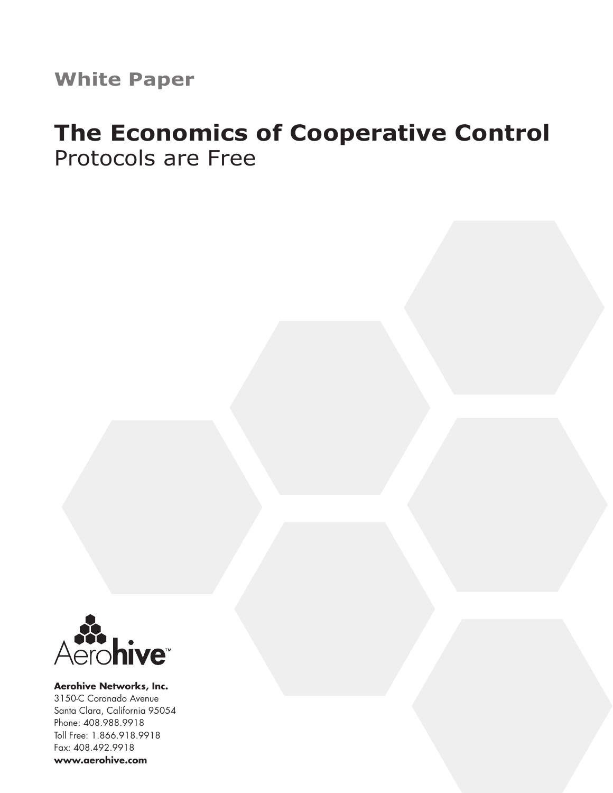**White Paper**

# **The Economics of Cooperative Control** Protocols are Free



**Aerohive Networks, Inc.** 3150-C Coronado Avenue Santa Clara, California 95054 Phone: 408.988.9918 Toll Free: 1.866.918.9918 Fax: 408.492.9918 **www.aerohive.com**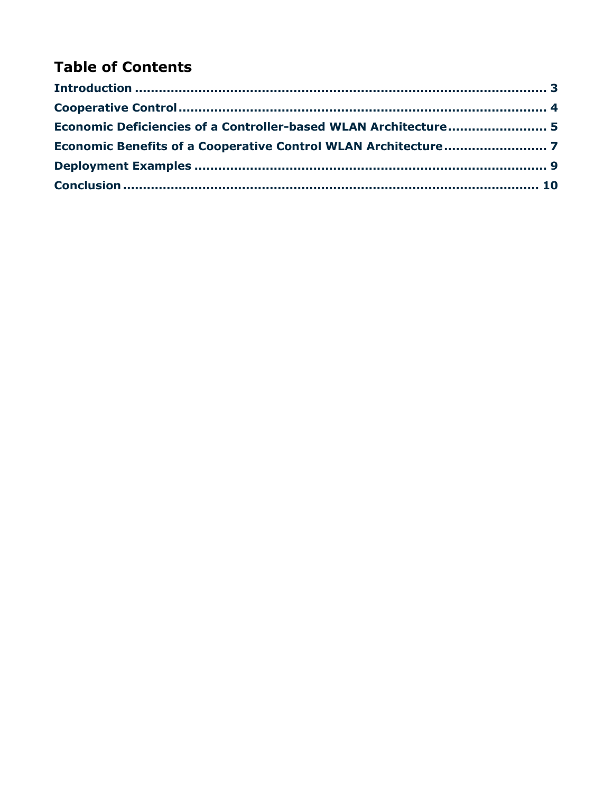# **Table of Contents**

| Economic Deficiencies of a Controller-based WLAN Architecture 5 |  |
|-----------------------------------------------------------------|--|
|                                                                 |  |
|                                                                 |  |
|                                                                 |  |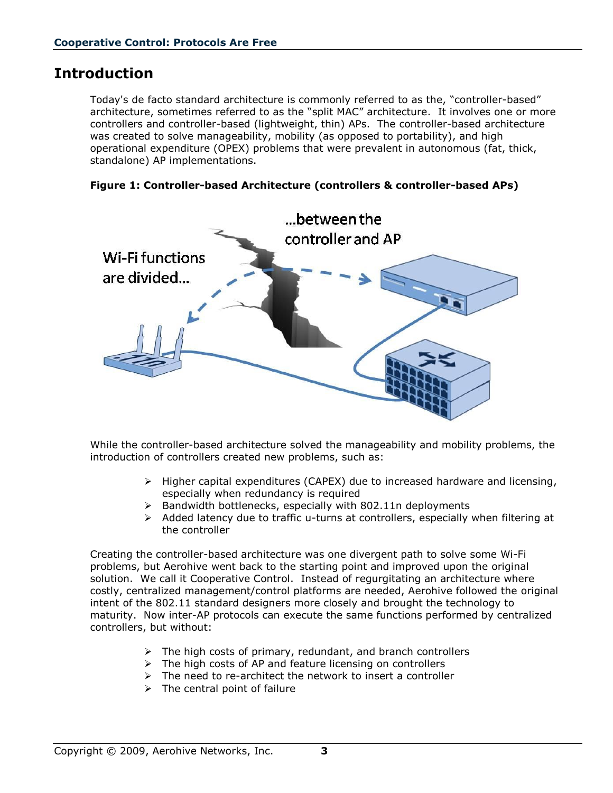### <span id="page-2-0"></span>**Introduction**

Today's de facto standard architecture is commonly referred to as the, "controller-based" architecture, sometimes referred to as the "split MAC" architecture. It involves one or more controllers and controller-based (lightweight, thin) APs. The controller-based architecture was created to solve manageability, mobility (as opposed to portability), and high operational expenditure (OPEX) problems that were prevalent in autonomous (fat, thick, standalone) AP implementations.





While the controller-based architecture solved the manageability and mobility problems, the introduction of controllers created new problems, such as:

- $\triangleright$  Higher capital expenditures (CAPEX) due to increased hardware and licensing, especially when redundancy is required
- $\triangleright$  Bandwidth bottlenecks, especially with 802.11n deployments
- $\triangleright$  Added latency due to traffic u-turns at controllers, especially when filtering at the controller

Creating the controller-based architecture was one divergent path to solve some Wi-Fi problems, but Aerohive went back to the starting point and improved upon the original solution. We call it Cooperative Control. Instead of regurgitating an architecture where costly, centralized management/control platforms are needed, Aerohive followed the original intent of the 802.11 standard designers more closely and brought the technology to maturity. Now inter-AP protocols can execute the same functions performed by centralized controllers, but without:

- $\triangleright$  The high costs of primary, redundant, and branch controllers
- $\triangleright$  The high costs of AP and feature licensing on controllers
- $\triangleright$  The need to re-architect the network to insert a controller
- $\triangleright$  The central point of failure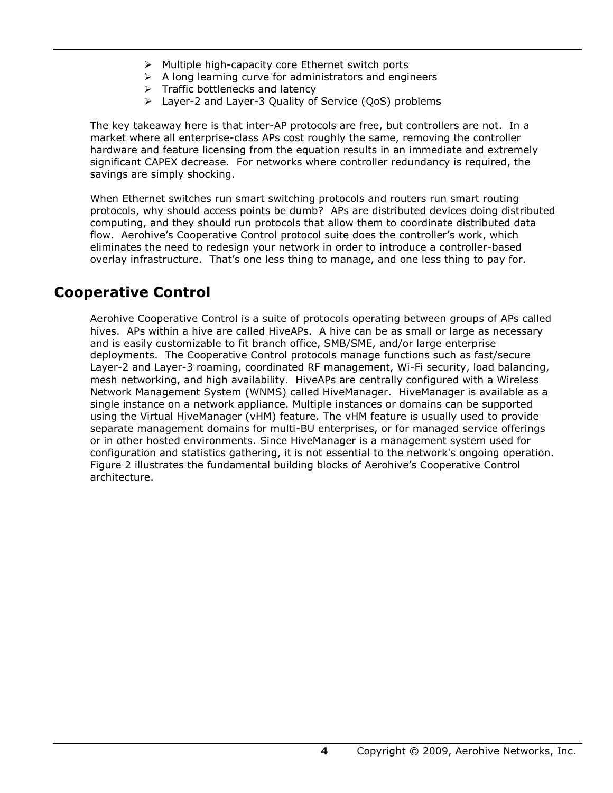- $\triangleright$  Multiple high-capacity core Ethernet switch ports
- $\triangleright$  A long learning curve for administrators and engineers
- $\triangleright$  Traffic bottlenecks and latency
- Layer-2 and Layer-3 Quality of Service (QoS) problems

The key takeaway here is that inter-AP protocols are free, but controllers are not. In a market where all enterprise-class APs cost roughly the same, removing the controller hardware and feature licensing from the equation results in an immediate and extremely significant CAPEX decrease. For networks where controller redundancy is required, the savings are simply shocking.

When Ethernet switches run smart switching protocols and routers run smart routing protocols, why should access points be dumb? APs are distributed devices doing distributed computing, and they should run protocols that allow them to coordinate distributed data flow. Aerohive's Cooperative Control protocol suite does the controller's work, which eliminates the need to redesign your network in order to introduce a controller-based overlay infrastructure. That's one less thing to manage, and one less thing to pay for.

## <span id="page-3-0"></span>**Cooperative Control**

Aerohive Cooperative Control is a suite of protocols operating between groups of APs called hives. APs within a hive are called HiveAPs. A hive can be as small or large as necessary and is easily customizable to fit branch office, SMB/SME, and/or large enterprise deployments. The Cooperative Control protocols manage functions such as fast/secure Layer-2 and Layer-3 roaming, coordinated RF management, Wi-Fi security, load balancing, mesh networking, and high availability. HiveAPs are centrally configured with a Wireless Network Management System (WNMS) called HiveManager. HiveManager is available as a single instance on a network appliance. Multiple instances or domains can be supported using the Virtual HiveManager (vHM) feature. The vHM feature is usually used to provide separate management domains for multi-BU enterprises, or for managed service offerings or in other hosted environments. Since HiveManager is a management system used for configuration and statistics gathering, it is not essential to the network's ongoing operation. Figure 2 illustrates the fundamental building blocks of Aerohive's Cooperative Control architecture.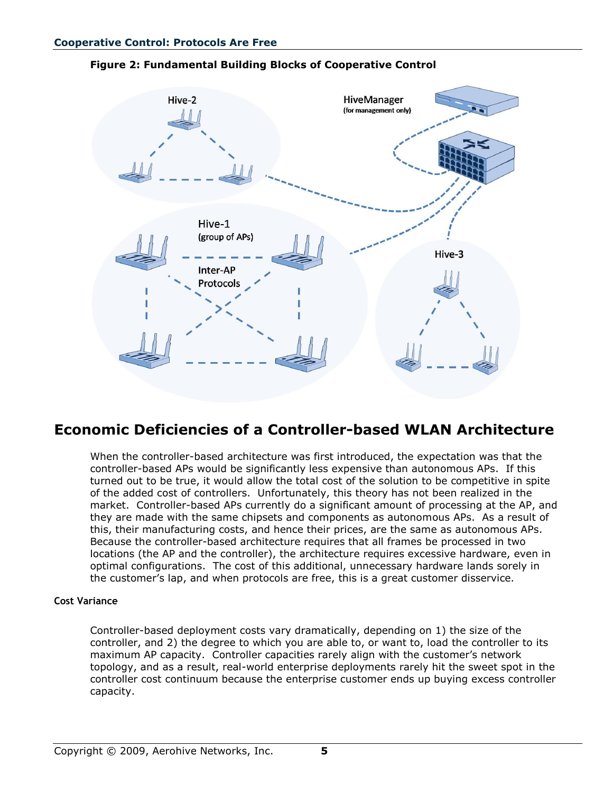### **Figure 2: Fundamental Building Blocks of Cooperative Control**



### <span id="page-4-0"></span>**Economic Deficiencies of a Controller-based WLAN Architecture**

When the controller-based architecture was first introduced, the expectation was that the controller-based APs would be significantly less expensive than autonomous APs. If this turned out to be true, it would allow the total cost of the solution to be competitive in spite of the added cost of controllers. Unfortunately, this theory has not been realized in the market. Controller-based APs currently do a significant amount of processing at the AP, and they are made with the same chipsets and components as autonomous APs. As a result of this, their manufacturing costs, and hence their prices, are the same as autonomous APs. Because the controller-based architecture requires that all frames be processed in two locations (the AP and the controller), the architecture requires excessive hardware, even in optimal configurations. The cost of this additional, unnecessary hardware lands sorely in the customer's lap, and when protocols are free, this is a great customer disservice.

#### **Cost Variance**

Controller-based deployment costs vary dramatically, depending on 1) the size of the controller, and 2) the degree to which you are able to, or want to, load the controller to its maximum AP capacity. Controller capacities rarely align with the customer's network topology, and as a result, real-world enterprise deployments rarely hit the sweet spot in the controller cost continuum because the enterprise customer ends up buying excess controller capacity.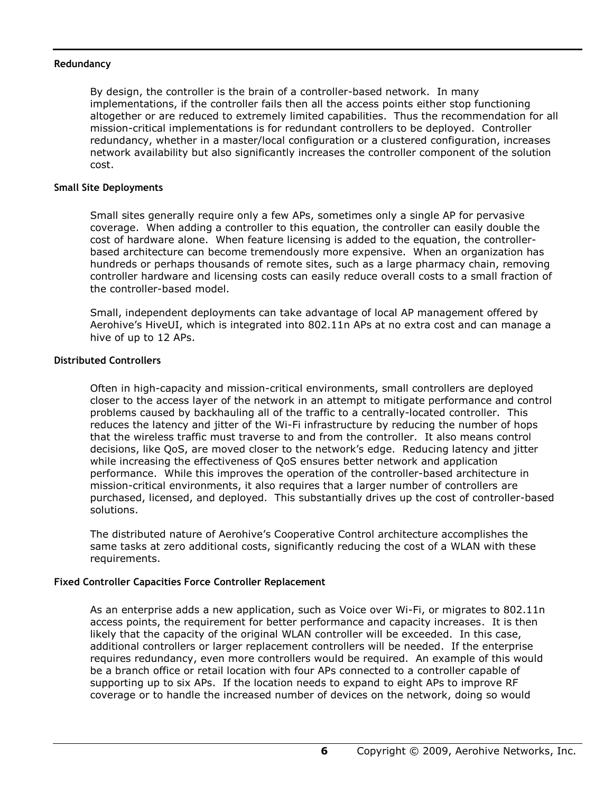### **Redundancy**

By design, the controller is the brain of a controller-based network. In many implementations, if the controller fails then all the access points either stop functioning altogether or are reduced to extremely limited capabilities. Thus the recommendation for all mission-critical implementations is for redundant controllers to be deployed. Controller redundancy, whether in a master/local configuration or a clustered configuration, increases network availability but also significantly increases the controller component of the solution cost.

### **Small Site Deployments**

Small sites generally require only a few APs, sometimes only a single AP for pervasive coverage. When adding a controller to this equation, the controller can easily double the cost of hardware alone. When feature licensing is added to the equation, the controllerbased architecture can become tremendously more expensive. When an organization has hundreds or perhaps thousands of remote sites, such as a large pharmacy chain, removing controller hardware and licensing costs can easily reduce overall costs to a small fraction of the controller-based model.

Small, independent deployments can take advantage of local AP management offered by Aerohive's HiveUI, which is integrated into 802.11n APs at no extra cost and can manage a hive of up to 12 APs.

### **Distributed Controllers**

Often in high-capacity and mission-critical environments, small controllers are deployed closer to the access layer of the network in an attempt to mitigate performance and control problems caused by backhauling all of the traffic to a centrally-located controller. This reduces the latency and jitter of the Wi-Fi infrastructure by reducing the number of hops that the wireless traffic must traverse to and from the controller. It also means control decisions, like QoS, are moved closer to the network's edge. Reducing latency and jitter while increasing the effectiveness of QoS ensures better network and application performance. While this improves the operation of the controller-based architecture in mission-critical environments, it also requires that a larger number of controllers are purchased, licensed, and deployed. This substantially drives up the cost of controller-based solutions.

The distributed nature of Aerohive's Cooperative Control architecture accomplishes the same tasks at zero additional costs, significantly reducing the cost of a WLAN with these requirements.

### **Fixed Controller Capacities Force Controller Replacement**

As an enterprise adds a new application, such as Voice over Wi-Fi, or migrates to 802.11n access points, the requirement for better performance and capacity increases. It is then likely that the capacity of the original WLAN controller will be exceeded. In this case, additional controllers or larger replacement controllers will be needed. If the enterprise requires redundancy, even more controllers would be required. An example of this would be a branch office or retail location with four APs connected to a controller capable of supporting up to six APs. If the location needs to expand to eight APs to improve RF coverage or to handle the increased number of devices on the network, doing so would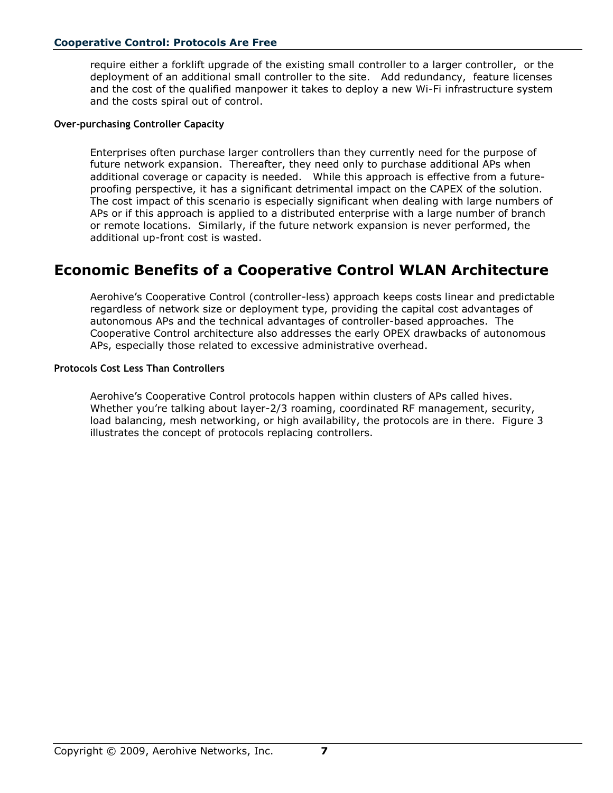### **Cooperative Control: Protocols Are Free**

require either a forklift upgrade of the existing small controller to a larger controller, or the deployment of an additional small controller to the site. Add redundancy, feature licenses and the cost of the qualified manpower it takes to deploy a new Wi-Fi infrastructure system and the costs spiral out of control.

### **Over-purchasing Controller Capacity**

Enterprises often purchase larger controllers than they currently need for the purpose of future network expansion. Thereafter, they need only to purchase additional APs when additional coverage or capacity is needed. While this approach is effective from a futureproofing perspective, it has a significant detrimental impact on the CAPEX of the solution. The cost impact of this scenario is especially significant when dealing with large numbers of APs or if this approach is applied to a distributed enterprise with a large number of branch or remote locations. Similarly, if the future network expansion is never performed, the additional up-front cost is wasted.

### <span id="page-6-0"></span>**Economic Benefits of a Cooperative Control WLAN Architecture**

Aerohive's Cooperative Control (controller-less) approach keeps costs linear and predictable regardless of network size or deployment type, providing the capital cost advantages of autonomous APs and the technical advantages of controller-based approaches. The Cooperative Control architecture also addresses the early OPEX drawbacks of autonomous APs, especially those related to excessive administrative overhead.

#### **Protocols Cost Less Than Controllers**

Aerohive's Cooperative Control protocols happen within clusters of APs called hives. Whether you're talking about layer-2/3 roaming, coordinated RF management, security, load balancing, mesh networking, or high availability, the protocols are in there. Figure 3 illustrates the concept of protocols replacing controllers.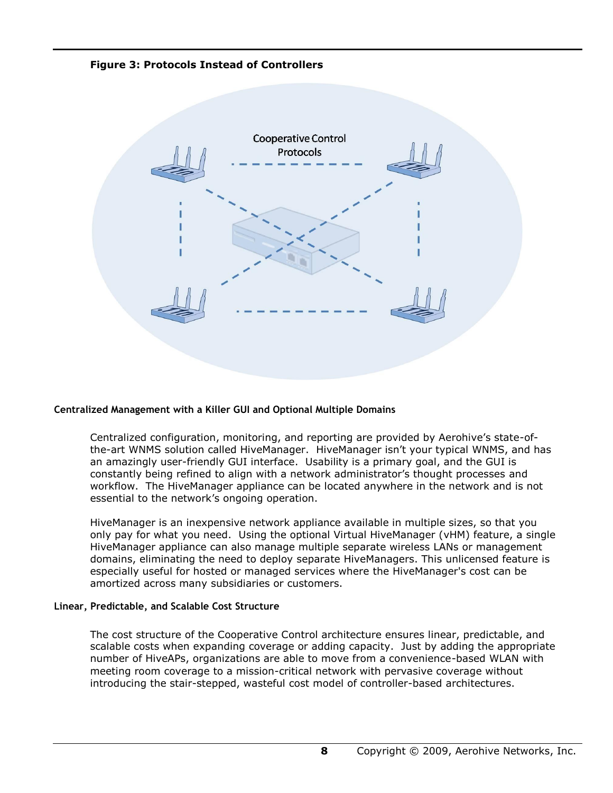**Figure 3: Protocols Instead of Controllers**



### **Centralized Management with a Killer GUI and Optional Multiple Domains**

Centralized configuration, monitoring, and reporting are provided by Aerohive's state-ofthe-art WNMS solution called HiveManager. HiveManager isn't your typical WNMS, and has an amazingly user-friendly GUI interface. Usability is a primary goal, and the GUI is constantly being refined to align with a network administrator's thought processes and workflow. The HiveManager appliance can be located anywhere in the network and is not essential to the network's ongoing operation.

HiveManager is an inexpensive network appliance available in multiple sizes, so that you only pay for what you need. Using the optional Virtual HiveManager (vHM) feature, a single HiveManager appliance can also manage multiple separate wireless LANs or management domains, eliminating the need to deploy separate HiveManagers. This unlicensed feature is especially useful for hosted or managed services where the HiveManager's cost can be amortized across many subsidiaries or customers.

#### **Linear, Predictable, and Scalable Cost Structure**

The cost structure of the Cooperative Control architecture ensures linear, predictable, and scalable costs when expanding coverage or adding capacity. Just by adding the appropriate number of HiveAPs, organizations are able to move from a convenience-based WLAN with meeting room coverage to a mission-critical network with pervasive coverage without introducing the stair-stepped, wasteful cost model of controller-based architectures.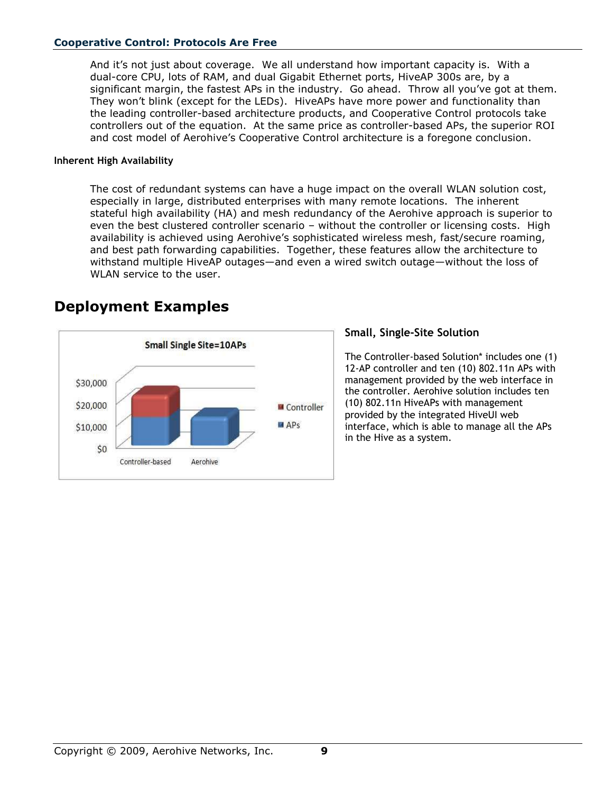### **Cooperative Control: Protocols Are Free**

And it's not just about coverage. We all understand how important capacity is. With a dual-core CPU, lots of RAM, and dual Gigabit Ethernet ports, HiveAP 300s are, by a significant margin, the fastest APs in the industry. Go ahead. Throw all you've got at them. They won't blink (except for the LEDs). HiveAPs have more power and functionality than the leading controller-based architecture products, and Cooperative Control protocols take controllers out of the equation. At the same price as controller-based APs, the superior ROI and cost model of Aerohive's Cooperative Control architecture is a foregone conclusion.

#### **Inherent High Availability**

The cost of redundant systems can have a huge impact on the overall WLAN solution cost, especially in large, distributed enterprises with many remote locations. The inherent stateful high availability (HA) and mesh redundancy of the Aerohive approach is superior to even the best clustered controller scenario – without the controller or licensing costs. High availability is achieved using Aerohive's sophisticated wireless mesh, fast/secure roaming, and best path forwarding capabilities. Together, these features allow the architecture to withstand multiple HiveAP outages—and even a wired switch outage—without the loss of WLAN service to the user.



### <span id="page-8-0"></span>**Deployment Examples**

### **Small, Single-Site Solution**

The Controller-based Solution\* includes one (1) 12-AP controller and ten (10) 802.11n APs with management provided by the web interface in the controller. Aerohive solution includes ten (10) 802.11n HiveAPs with management provided by the integrated HiveUI web interface, which is able to manage all the APs in the Hive as a system.